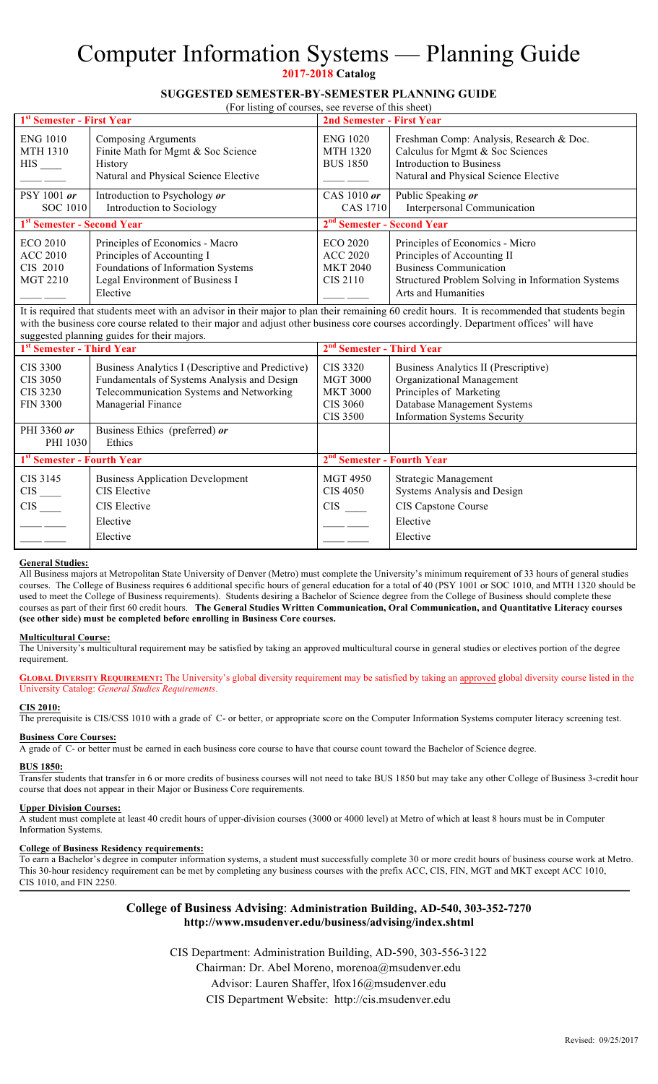# Computer Information Systems — Planning Guide

**2017-2018 Catalog** 

## **SUGGESTED SEMESTER-BY-SEMESTER PLANNING GUIDE**

 $(For *listing of course*)$ 

| $(1)$ is $(1)$ is $(1)$ is $(1)$ is $(1)$ is $(1)$ is $(1)$ is $(1)$ is $(1)$ is $(1)$ is $(1)$ is $(1)$ is $(1)$ is $(1)$ is $(1)$ is $(1)$ is $(1)$ is $(1)$ is $(1)$ is $(1)$ is $(1)$ is $(1)$ is $(1)$ is $(1)$ is $(1)$ |                                                                                                                                                    |                                                                   |                                                                                                                                                                             |  |  |  |  |
|-------------------------------------------------------------------------------------------------------------------------------------------------------------------------------------------------------------------------------|----------------------------------------------------------------------------------------------------------------------------------------------------|-------------------------------------------------------------------|-----------------------------------------------------------------------------------------------------------------------------------------------------------------------------|--|--|--|--|
| 1 <sup>st</sup> Semester - First Year                                                                                                                                                                                         |                                                                                                                                                    | 2nd Semester - First Year                                         |                                                                                                                                                                             |  |  |  |  |
| <b>ENG 1010</b><br><b>MTH 1310</b><br>$HIS$ <sub>____</sub>                                                                                                                                                                   | Composing Arguments<br>Finite Math for Mgmt & Soc Science<br><b>History</b><br>Natural and Physical Science Elective                               | <b>ENG 1020</b><br><b>MTH 1320</b><br><b>BUS 1850</b>             | Freshman Comp: Analysis, Research & Doc.<br>Calculus for Mgmt & Soc Sciences<br>Introduction to Business<br>Natural and Physical Science Elective                           |  |  |  |  |
| $PSY 1001$ or                                                                                                                                                                                                                 | Introduction to Psychology or                                                                                                                      | CAS 1010 or                                                       | Public Speaking or                                                                                                                                                          |  |  |  |  |
| SOC 1010                                                                                                                                                                                                                      | Introduction to Sociology                                                                                                                          | CAS 1710                                                          | Interpersonal Communication                                                                                                                                                 |  |  |  |  |
| 1 <sup>st</sup> Semester - Second Year                                                                                                                                                                                        |                                                                                                                                                    | 2 <sup>nd</sup> Semester - Second Year                            |                                                                                                                                                                             |  |  |  |  |
| <b>ECO 2010</b><br><b>ACC 2010</b><br>CIS 2010<br><b>MGT 2210</b>                                                                                                                                                             | Principles of Economics - Macro<br>Principles of Accounting I<br>Foundations of Information Systems<br>Legal Environment of Business I<br>Elective | <b>ECO 2020</b><br><b>ACC 2020</b><br><b>MKT 2040</b><br>CIS 2110 | Principles of Economics - Micro<br>Principles of Accounting II<br><b>Business Communication</b><br>Structured Problem Solving in Information Systems<br>Arts and Humanities |  |  |  |  |

It is required that students meet with an advisor in their major to plan their remaining 60 credit hours. It is recommended that students begin with the business core course related to their major and adjust other business core courses accordingly. Department offices' will have suggested planning guides for their majors.

| 1 <sup>st</sup> Semester - Third Year                      |                                                                                                                                                                    | 2 <sup>nd</sup> Semester - Third Year                                  |                                                                                                                                                                    |  |
|------------------------------------------------------------|--------------------------------------------------------------------------------------------------------------------------------------------------------------------|------------------------------------------------------------------------|--------------------------------------------------------------------------------------------------------------------------------------------------------------------|--|
| CIS 3300<br><b>CIS 3050</b><br>CIS 3230<br><b>FIN 3300</b> | Business Analytics I (Descriptive and Predictive)<br>Fundamentals of Systems Analysis and Design<br>Telecommunication Systems and Networking<br>Managerial Finance | CIS 3320<br><b>MGT 3000</b><br><b>MKT 3000</b><br>CIS 3060<br>CIS 3500 | Business Analytics II (Prescriptive)<br>Organizational Management<br>Principles of Marketing<br>Database Management Systems<br><b>Information Systems Security</b> |  |
| PHI 3360 or<br>PHI 1030                                    | Business Ethics (preferred) or<br>Ethics                                                                                                                           |                                                                        |                                                                                                                                                                    |  |
| 1 <sup>st</sup> Semester - Fourth Year                     |                                                                                                                                                                    | 2 <sup>nd</sup> Semester - Fourth Year                                 |                                                                                                                                                                    |  |
| CIS 3145<br>$CIS$ <sub>——</sub><br><b>CIS</b>              | <b>Business Application Development</b><br>CIS Elective<br>CIS Elective<br>Elective<br>Elective                                                                    | <b>MGT 4950</b><br>CIS 4050<br><b>CIS</b>                              | Strategic Management<br>Systems Analysis and Design<br>CIS Capstone Course<br>Elective<br>Elective                                                                 |  |

#### **General Studies:**

All Business majors at Metropolitan State University of Denver (Metro) must complete the University's minimum requirement of 33 hours of general studies courses. The College of Business requires 6 additional specific hours of general education for a total of 40 (PSY 1001 or SOC 1010, and MTH 1320 should be used to meet the College of Business requirements). Students desiring a Bachelor of Science degree from the College of Business should complete these courses as part of their first 60 credit hours. **The General Studies Written Communication, Oral Communication, and Quantitative Literacy courses (see other side) must be completed before enrolling in Business Core courses.**

#### **Multicultural Course:**

The University's multicultural requirement may be satisfied by taking an approved multicultural course in general studies or electives portion of the degree requirement.

**GLOBAL DIVERSITY REQUIREMENT:** The University's global diversity requirement may be satisfied by taking an approved global diversity course listed in the University Catalog: *General Studies Requirements*.

#### **CIS 2010:**

The prerequisite is CIS/CSS 1010 with a grade of C- or better, or appropriate score on the Computer Information Systems computer literacy screening test.

#### **Business Core Courses:**

A grade of C- or better must be earned in each business core course to have that course count toward the Bachelor of Science degree.

#### **BUS 1850:**

Transfer students that transfer in 6 or more credits of business courses will not need to take BUS 1850 but may take any other College of Business 3-credit hour course that does not appear in their Major or Business Core requirements.

**Upper Division Courses:** A student must complete at least 40 credit hours of upper-division courses (3000 or 4000 level) at Metro of which at least 8 hours must be in Computer Information Systems.

#### **College of Business Residency requirements:**

To earn a Bachelor's degree in computer information systems, a student must successfully complete 30 or more credit hours of business course work at Metro. This 30-hour residency requirement can be met by completing any business courses with the prefix ACC, CIS, FIN, MGT and MKT except ACC 1010, CIS 1010, and FIN 2250.

### **College of Business Advising**: **Administration Building, AD-540, 303-352-7270 http://www.msudenver.edu/business/advising/index.shtml**

CIS Department: Administration Building, AD-590, 303-556-3122

Chairman: Dr. Abel Moreno, morenoa@msudenver.edu

Advisor: Lauren Shaffer, lfox16@msudenver.edu

CIS Department Website: http://cis.msudenver.edu